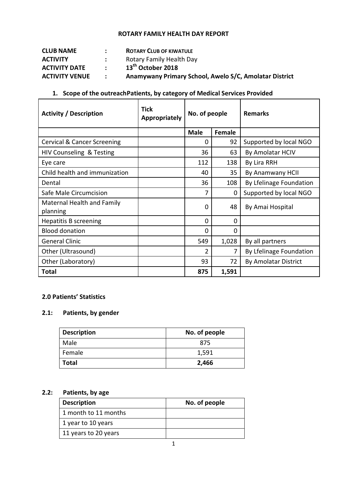#### **ROTARY FAMILY HEALTH DAY REPORT**

| <b>CLUB NAME</b>      |                  | <b>ROTARY CLUB OF KIWATULE</b>                         |
|-----------------------|------------------|--------------------------------------------------------|
| <b>ACTIVITY</b>       | $\mathbf{L}$     | Rotary Family Health Day                               |
| <b>ACTIVITY DATE</b>  | $\sim$ 100 $\mu$ | 13 <sup>th</sup> October 2018                          |
| <b>ACTIVITY VENUE</b> | $\mathbf{r}$     | Anamywany Primary School, Awelo S/C, Amolatar District |

# **1. Scope of the outreachPatients, by category of Medical Services Provided**

| <b>Activity / Description</b>          | <b>Tick</b><br><b>Appropriately</b> | No. of people |             | <b>Remarks</b>              |
|----------------------------------------|-------------------------------------|---------------|-------------|-----------------------------|
|                                        |                                     | <b>Male</b>   | Female      |                             |
| <b>Cervical &amp; Cancer Screening</b> |                                     | 0             | 92          | Supported by local NGO      |
| HIV Counseling & Testing               |                                     | 36            | 63          | By Amolatar HCIV            |
| Eye care                               |                                     | 112           | 138         | By Lira RRH                 |
| Child health and immunization          |                                     | 40            | 35          | By Anamwany HCII            |
| Dental                                 |                                     | 36            | 108         | By Lfelinage Foundation     |
| Safe Male Circumcision                 |                                     | 7             | $\mathbf 0$ | Supported by local NGO      |
| Maternal Health and Family<br>planning |                                     | $\Omega$      | 48          | By Amai Hospital            |
| Hepatitis B screening                  |                                     | 0             | 0           |                             |
| <b>Blood donation</b>                  |                                     | $\Omega$      | $\mathbf 0$ |                             |
| <b>General Clinic</b>                  |                                     | 549           | 1,028       | By all partners             |
| Other (Ultrasound)                     |                                     | 2             | 7           | By Lfelinage Foundation     |
| Other (Laboratory)                     |                                     | 93            | 72          | <b>By Amolatar District</b> |
| Total                                  |                                     | 875           | 1,591       |                             |

### **2.0 Patients' Statistics**

## **2.1: Patients, by gender**

| <b>Description</b> | No. of people |
|--------------------|---------------|
| Male               | 875           |
| Female             | 1,591         |
| <b>Total</b>       | 2,466         |

# **2.2: Patients, by age**

| <b>Description</b>   | No. of people |
|----------------------|---------------|
| 1 month to 11 months |               |
| 1 year to 10 years   |               |
| 11 years to 20 years |               |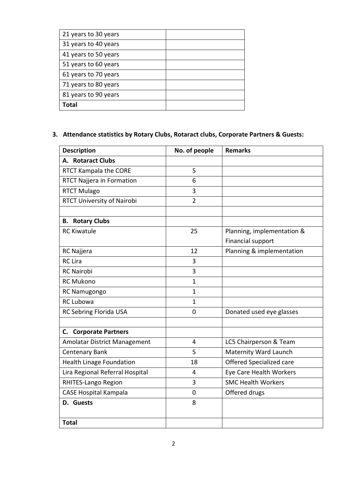| 21 years to 30 years |  |
|----------------------|--|
| 31 years to 40 years |  |
| 41 years to 50 years |  |
| 51 years to 60 years |  |
| 61 years to 70 years |  |
| 71 years to 80 years |  |
| 81 years to 90 years |  |
| Total                |  |

# **3. Attendance statistics by Rotary Clubs, Rotaract clubs, Corporate Partners & Guests:**

| <b>Description</b>                  | No. of people  | <b>Remarks</b>             |
|-------------------------------------|----------------|----------------------------|
| A. Rotaract Clubs                   |                |                            |
| RTCT Kampala the CORE               | 5              |                            |
| RTCT Najjera in Formation           | 6              |                            |
| <b>RTCT Mulago</b>                  | 3              |                            |
| RTCT University of Nairobi          | $\overline{2}$ |                            |
|                                     |                |                            |
| <b>B.</b> Rotary Clubs              |                |                            |
| <b>RC Kiwatule</b>                  | 25             | Planning, implementation & |
|                                     |                | <b>Financial support</b>   |
| RC Najjera                          | 12             | Planning & implementation  |
| <b>RC</b> Lira                      | 3              |                            |
| <b>RC Nairobi</b>                   | 3              |                            |
| <b>RC Mukono</b>                    | $\mathbf{1}$   |                            |
| RC Namugongo                        | $\mathbf{1}$   |                            |
| <b>RC Lubowa</b>                    | $\mathbf{1}$   |                            |
| RC Sebring Florida USA              | $\overline{0}$ | Donated used eye glasses   |
|                                     |                |                            |
| <b>C.</b> Corporate Partners        |                |                            |
| <b>Amolatar District Management</b> | 4              | LC5 Chairperson & Team     |
| <b>Centenary Bank</b>               | 5              | Maternity Ward Launch      |
| <b>Health Linage Foundation</b>     | 18             | Offered Specialized care   |
| Lira Regional Referral Hospital     | 4              | Eye Care Health Workers    |
| RHITES-Lango Region                 | 3              | <b>SMC Health Workers</b>  |
| <b>CASE Hospital Kampala</b>        | 0              | Offered drugs              |
| D. Guests                           | 8              |                            |
|                                     |                |                            |
| <b>Total</b>                        |                |                            |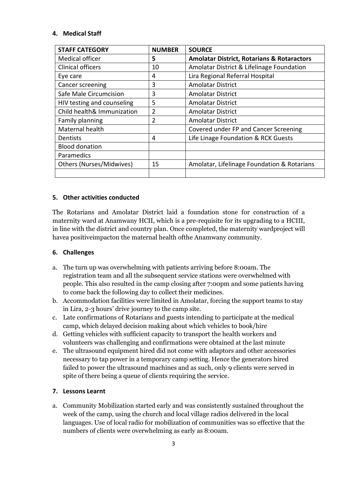#### **4. Medical Staff**

| <b>STAFF CATEGORY</b>      | <b>NUMBER</b> | <b>SOURCE</b>                                         |
|----------------------------|---------------|-------------------------------------------------------|
| <b>Medical officer</b>     | 5             | <b>Amolatar District, Rotarians &amp; Rotaractors</b> |
| <b>Clinical officers</b>   | 10            | Amolatar District & Lifelinage Foundation             |
| Eye care                   | 4             | Lira Regional Referral Hospital                       |
| Cancer screening           | 3             | <b>Amolatar District</b>                              |
| Safe Male Circumcision     | 3             | <b>Amolatar District</b>                              |
| HIV testing and counseling | 5             | <b>Amolatar District</b>                              |
| Child health& Immunization | 2             | <b>Amolatar District</b>                              |
| Family planning            | 2             | <b>Amolatar District</b>                              |
| Maternal health            |               | Covered under FP and Cancer Screening                 |
| Dentists                   | 4             | Life Linage Foundation & RCK Guests                   |
| <b>Blood donation</b>      |               |                                                       |
| Paramedics                 |               |                                                       |
| Others (Nurses/Midwives)   | 15            | Amolatar, Lifelinage Foundation & Rotarians           |
|                            |               |                                                       |

#### **5. Other activities conducted**

The Rotarians and Amolatar District laid a foundation stone for construction of a maternity ward at Anamwany HCII, which is a pre-requisite for its upgrading to a HCIII, in line with the district and country plan. Once completed, the maternity wardproject will havea positiveimpacton the maternal health ofthe Anamwany community.

#### **6. Challenges**

- a. The turn up was overwhelming with patients arriving before 8:00am. The registration team and all the subsequent service stations were overwhelmed with people. This also resulted in the camp closing after 7:00pm and some patients having to come back the following day to collect their medicines.
- b. Accommodation facilities were limited in Amolatar, forcing the support teams to stay in Lira, 2-3 hours' drive journey to the camp site.
- c. Late confirmations of Rotarians and guests intending to participate at the medical camp, which delayed decision making about which vehicles to book/hire
- d. Getting vehicles with sufficient capacity to transport the health workers and volunteers was challenging and confirmations were obtained at the last minute
- e. The ultrasound equipment hired did not come with adaptors and other accessories necessary to tap power in a temporary camp setting. Hence the generators hired failed to power the ultrasound machines and as such, only 9 clients were served in spite of there being a queue of clients requiring the service.

#### **7. Lessons Learnt**

a. Community Mobilization started early and was consistently sustained throughout the week of the camp, using the church and local village radios delivered in the local languages. Use of local radio for mobilization of communities was so effective that the numbers of clients were overwhelming as early as 8:00am.